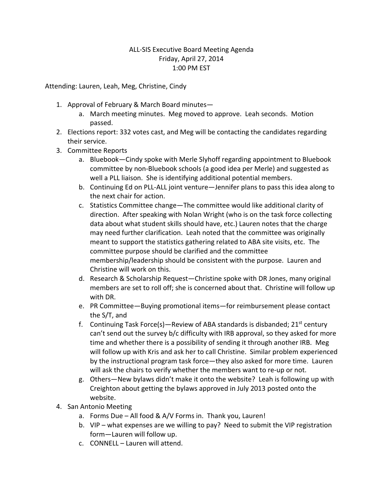## ALL-SIS Executive Board Meeting Agenda Friday, April 27, 2014 1:00 PM EST

Attending: Lauren, Leah, Meg, Christine, Cindy

- 1. Approval of February & March Board minutes
	- a. March meeting minutes. Meg moved to approve. Leah seconds. Motion passed.
- 2. Elections report: 332 votes cast, and Meg will be contacting the candidates regarding their service.
- 3. Committee Reports
	- a. Bluebook—Cindy spoke with Merle Slyhoff regarding appointment to Bluebook committee by non-Bluebook schools (a good idea per Merle) and suggested as well a PLL liaison. She is identifying additional potential members.
	- b. Continuing Ed on PLL-ALL joint venture—Jennifer plans to pass this idea along to the next chair for action.
	- c. Statistics Committee change—The committee would like additional clarity of direction. After speaking with Nolan Wright (who is on the task force collecting data about what student skills should have, etc.) Lauren notes that the charge may need further clarification. Leah noted that the committee was originally meant to support the statistics gathering related to ABA site visits, etc. The committee purpose should be clarified and the committee membership/leadership should be consistent with the purpose. Lauren and Christine will work on this.
	- d. Research & Scholarship Request—Christine spoke with DR Jones, many original members are set to roll off; she is concerned about that. Christine will follow up with DR.
	- e. PR Committee—Buying promotional items—for reimbursement please contact the S/T, and
	- f. Continuing Task Force(s)—Review of ABA standards is disbanded;  $21<sup>st</sup>$  century can't send out the survey b/c difficulty with IRB approval, so they asked for more time and whether there is a possibility of sending it through another IRB. Meg will follow up with Kris and ask her to call Christine. Similar problem experienced by the instructional program task force—they also asked for more time. Lauren will ask the chairs to verify whether the members want to re-up or not.
	- g. Others—New bylaws didn't make it onto the website? Leah is following up with Creighton about getting the bylaws approved in July 2013 posted onto the website.
- 4. San Antonio Meeting
	- a. Forms Due All food & A/V Forms in. Thank you, Lauren!
	- b. VIP what expenses are we willing to pay? Need to submit the VIP registration form—Lauren will follow up.
	- c. CONNELL Lauren will attend.